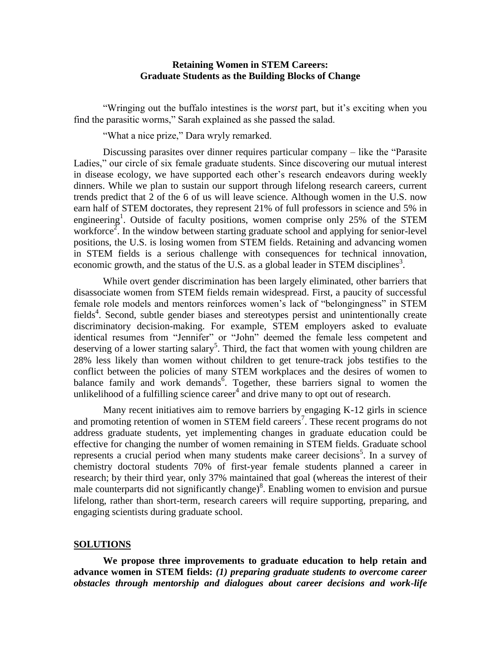# **Retaining Women in STEM Careers: Graduate Students as the Building Blocks of Change**

"Wringing out the buffalo intestines is the *worst* part, but it's exciting when you find the parasitic worms," Sarah explained as she passed the salad.

"What a nice prize," Dara wryly remarked.

Discussing parasites over dinner requires particular company – like the "Parasite Ladies," our circle of six female graduate students. Since discovering our mutual interest in disease ecology, we have supported each other's research endeavors during weekly dinners. While we plan to sustain our support through lifelong research careers, current trends predict that 2 of the 6 of us will leave science. Although women in the U.S. now earn half of STEM doctorates, they represent 21% of full professors in science and 5% in engineering<sup>1</sup>. Outside of faculty positions, women comprise only 25% of the STEM workforce<sup>2</sup>. In the window between starting graduate school and applying for senior-level positions, the U.S. is losing women from STEM fields. Retaining and advancing women in STEM fields is a serious challenge with consequences for technical innovation, economic growth, and the status of the U.S. as a global leader in STEM disciplines<sup>3</sup>.

While overt gender discrimination has been largely eliminated, other barriers that disassociate women from STEM fields remain widespread. First, a paucity of successful female role models and mentors reinforces women's lack of "belongingness" in STEM fields<sup>4</sup>. Second, subtle gender biases and stereotypes persist and unintentionally create discriminatory decision-making. For example, STEM employers asked to evaluate identical resumes from "Jennifer" or "John" deemed the female less competent and deserving of a lower starting salary<sup>5</sup>. Third, the fact that women with young children are 28% less likely than women without children to get tenure-track jobs testifies to the conflict between the policies of many STEM workplaces and the desires of women to balance family and work demands<sup>6</sup>. Together, these barriers signal to women the unlikelihood of a fulfilling science career<sup>4</sup> and drive many to opt out of research.

Many recent initiatives aim to remove barriers by engaging K-12 girls in science and promoting retention of women in STEM field careers<sup>7</sup>. These recent programs do not address graduate students, yet implementing changes in graduate education could be effective for changing the number of women remaining in STEM fields. Graduate school represents a crucial period when many students make career decisions<sup>5</sup>. In a survey of chemistry doctoral students 70% of first-year female students planned a career in research; by their third year, only 37% maintained that goal (whereas the interest of their male counterparts did not significantly change)<sup>8</sup>. Enabling women to envision and pursue lifelong, rather than short-term, research careers will require supporting, preparing, and engaging scientists during graduate school.

## **SOLUTIONS**

**We propose three improvements to graduate education to help retain and advance women in STEM fields:** *(1) preparing graduate students to overcome career obstacles through mentorship and dialogues about career decisions and work-life*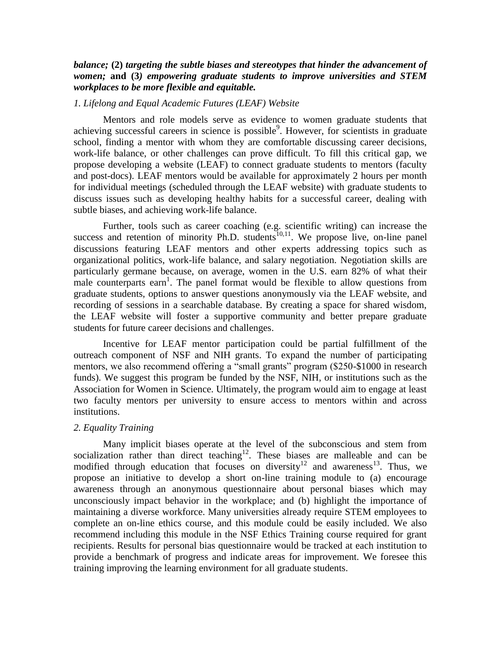# *balance;* **(2)** *targeting the subtle biases and stereotypes that hinder the advancement of women;* **and (3***) empowering graduate students to improve universities and STEM workplaces to be more flexible and equitable.*

#### *1. Lifelong and Equal Academic Futures (LEAF) Website*

Mentors and role models serve as evidence to women graduate students that achieving successful careers in science is possible<sup>9</sup>. However, for scientists in graduate school, finding a mentor with whom they are comfortable discussing career decisions, work-life balance, or other challenges can prove difficult. To fill this critical gap, we propose developing a website (LEAF) to connect graduate students to mentors (faculty and post-docs). LEAF mentors would be available for approximately 2 hours per month for individual meetings (scheduled through the LEAF website) with graduate students to discuss issues such as developing healthy habits for a successful career, dealing with subtle biases, and achieving work-life balance.

Further, tools such as career coaching (e.g. scientific writing) can increase the success and retention of minority Ph.D. students<sup> $10,11$ </sup>. We propose live, on-line panel discussions featuring LEAF mentors and other experts addressing topics such as organizational politics, work-life balance, and salary negotiation. Negotiation skills are particularly germane because, on average, women in the U.S. earn 82% of what their male counterparts earn<sup>1</sup>. The panel format would be flexible to allow questions from graduate students, options to answer questions anonymously via the LEAF website, and recording of sessions in a searchable database. By creating a space for shared wisdom, the LEAF website will foster a supportive community and better prepare graduate students for future career decisions and challenges.

Incentive for LEAF mentor participation could be partial fulfillment of the outreach component of NSF and NIH grants. To expand the number of participating mentors, we also recommend offering a "small grants" program (\$250-\$1000 in research funds). We suggest this program be funded by the NSF, NIH, or institutions such as the Association for Women in Science. Ultimately, the program would aim to engage at least two faculty mentors per university to ensure access to mentors within and across institutions.

#### *2. Equality Training*

Many implicit biases operate at the level of the subconscious and stem from socialization rather than direct teaching<sup>12</sup>. These biases are malleable and can be modified through education that focuses on diversity<sup>12</sup> and awareness<sup>13</sup>. Thus, we propose an initiative to develop a short on-line training module to (a) encourage awareness through an anonymous questionnaire about personal biases which may unconsciously impact behavior in the workplace; and (b) highlight the importance of maintaining a diverse workforce. Many universities already require STEM employees to complete an on-line ethics course, and this module could be easily included. We also recommend including this module in the NSF Ethics Training course required for grant recipients. Results for personal bias questionnaire would be tracked at each institution to provide a benchmark of progress and indicate areas for improvement. We foresee this training improving the learning environment for all graduate students.